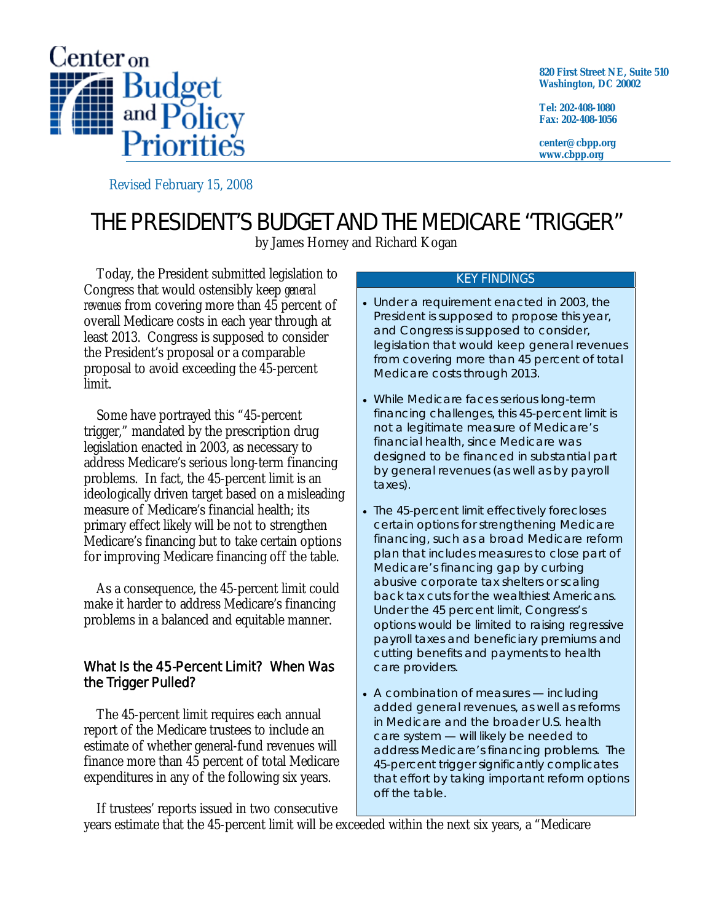

**820 First Street NE, Suite 510 Washington, DC 20002** 

**Tel: 202-408-1080 Fax: 202-408-1056** 

**center@cbpp.org www.cbpp.org** 

Revised February 15, 2008

# THE PRESIDENT'S BUDGET AND THE MEDICARE "TRIGGER"

by James Horney and Richard Kogan

 Today, the President submitted legislation to Congress that would ostensibly keep *general revenues* from covering more than 45 percent of overall Medicare costs in each year through at least 2013. Congress is supposed to consider the President's proposal or a comparable proposal to avoid exceeding the 45-percent limit.

 Some have portrayed this "45-percent trigger," mandated by the prescription drug legislation enacted in 2003, as necessary to address Medicare's serious long-term financing problems. In fact, the 45-percent limit is an ideologically driven target based on a misleading measure of Medicare's financial health; its primary effect likely will be not to strengthen Medicare's financing but to take certain options for improving Medicare financing off the table.

 As a consequence, the 45-percent limit could make it harder to address Medicare's financing problems in a balanced and equitable manner.

## What Is the 45-Percent Limit? When Was the Trigger Pulled?

 The 45-percent limit requires each annual report of the Medicare trustees to include an estimate of whether general-fund revenues will finance more than 45 percent of total Medicare expenditures in any of the following six years.

#### KEY FINDINGS

- Under a requirement enacted in 2003, the President is supposed to propose this year, and Congress is supposed to consider, legislation that would keep general revenues from covering more than 45 percent of total Medicare costs through 2013.
- While Medicare faces serious long-term financing challenges, this 45-percent limit is not a legitimate measure of Medicare's financial health, since Medicare was *designed* to be financed in substantial part by general revenues (as well as by payroll taxes).
- The 45-percent limit effectively forecloses certain options for strengthening Medicare financing, such as a broad Medicare reform plan that includes measures to close part of Medicare's financing gap by curbing abusive corporate tax shelters or scaling back tax cuts for the wealthiest Americans. Under the 45 percent limit, Congress's options would be limited to raising regressive payroll taxes and beneficiary premiums and cutting benefits and payments to health care providers.
- A combination of measures including added general revenues, as well as reforms in Medicare and the broader U.S. health care system — will likely be needed to address Medicare's financing problems. The 45-percent trigger significantly complicates that effort by taking important reform options off the table.

 If trustees' reports issued in two consecutive years estimate that the 45-percent limit will be exceeded within the next six years, a "Medicare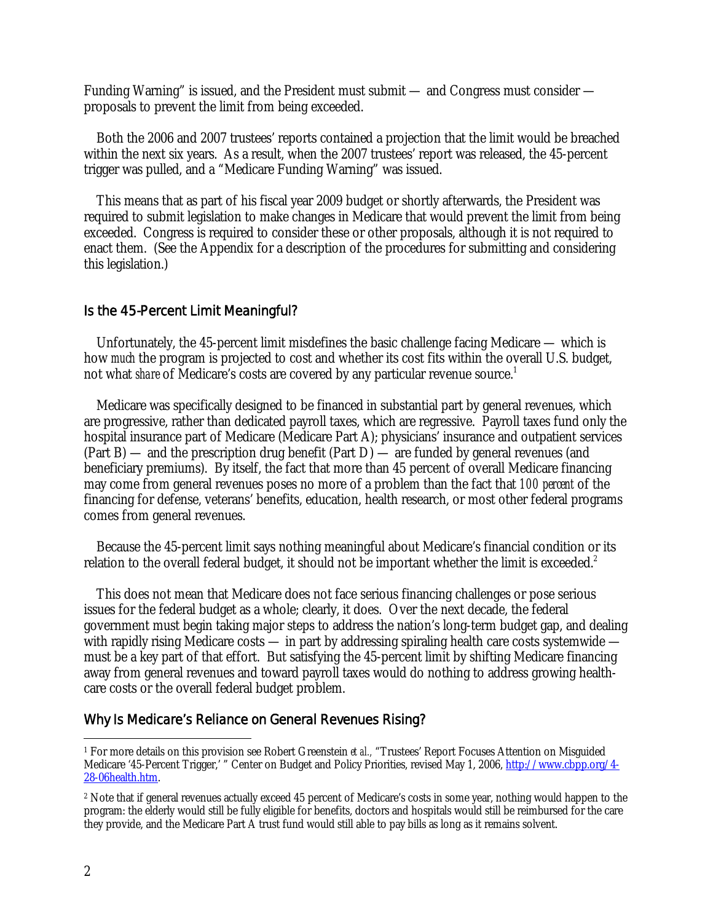Funding Warning" is issued, and the President must submit — and Congress must consider proposals to prevent the limit from being exceeded.

 Both the 2006 and 2007 trustees' reports contained a projection that the limit would be breached within the next six years. As a result, when the 2007 trustees' report was released, the 45-percent trigger was pulled, and a "Medicare Funding Warning" was issued.

 This means that as part of his fiscal year 2009 budget or shortly afterwards, the President was required to submit legislation to make changes in Medicare that would prevent the limit from being exceeded. Congress is required to consider these or other proposals, although it is not required to enact them. (See the Appendix for a description of the procedures for submitting and considering this legislation.)

#### Is the 45-Percent Limit Meaningful?

 Unfortunately, the 45-percent limit misdefines the basic challenge facing Medicare — which is how *much* the program is projected to cost and whether its cost fits within the overall U.S. budget, not what *share* of Medicare's costs are covered by any particular revenue source.<sup>1</sup>

 Medicare was specifically designed to be financed in substantial part by general revenues, which are progressive, rather than dedicated payroll taxes, which are regressive. Payroll taxes fund only the hospital insurance part of Medicare (Medicare Part A); physicians' insurance and outpatient services (Part B) — and the prescription drug benefit (Part D) — are funded by general revenues (and beneficiary premiums). By itself, the fact that more than 45 percent of overall Medicare financing may come from general revenues poses no more of a problem than the fact that *100 percent* of the financing for defense, veterans' benefits, education, health research, or most other federal programs comes from general revenues.

 Because the 45-percent limit says nothing meaningful about Medicare's financial condition or its relation to the overall federal budget, it should not be important whether the limit is exceeded.<sup>2</sup>

 This does not mean that Medicare does not face serious financing challenges or pose serious issues for the federal budget as a whole; clearly, it does. Over the next decade, the federal government must begin taking major steps to address the nation's long-term budget gap, and dealing with rapidly rising Medicare costs — in part by addressing spiraling health care costs systemwide must be a key part of that effort. But satisfying the 45-percent limit by shifting Medicare financing away from general revenues and toward payroll taxes would do nothing to address growing healthcare costs or the overall federal budget problem.

#### Why Is Medicare's Reliance on General Revenues Rising?

-

<sup>&</sup>lt;sup>1</sup> For more details on this provision see Robert Greenstein *et al.*, "Trustees' Report Focuses Attention on Misguided Medicare '45-Percent Trigger,' " Center on Budget and Policy Priorities, revised May 1, 2006, http://www.cbpp.org/4- 28-06health.htm.

<sup>2</sup> Note that if general revenues actually exceed 45 percent of Medicare's costs in some year, nothing would happen to the program: the elderly would still be fully eligible for benefits, doctors and hospitals would still be reimbursed for the care they provide, and the Medicare Part A trust fund would still able to pay bills as long as it remains solvent.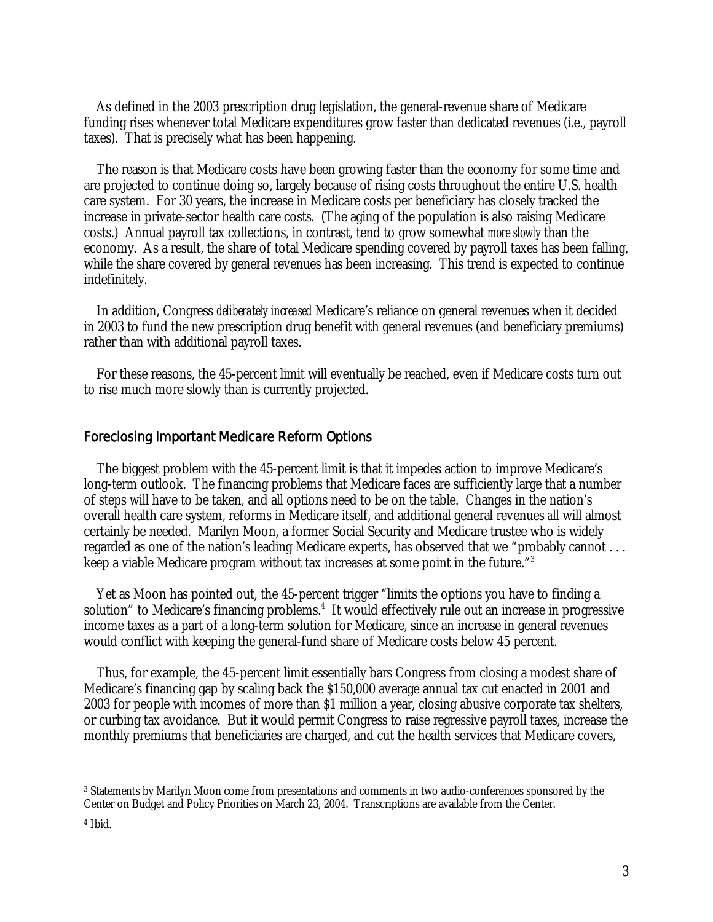As defined in the 2003 prescription drug legislation, the general-revenue share of Medicare funding rises whenever total Medicare expenditures grow faster than dedicated revenues (i.e., payroll taxes). That is precisely what has been happening.

 The reason is that Medicare costs have been growing faster than the economy for some time and are projected to continue doing so, largely because of rising costs throughout the entire U.S. health care system. For 30 years, the increase in Medicare costs per beneficiary has closely tracked the increase in private-sector health care costs. (The aging of the population is also raising Medicare costs.) Annual payroll tax collections, in contrast, tend to grow somewhat *more slowly* than the economy. As a result, the share of total Medicare spending covered by payroll taxes has been falling, while the share covered by general revenues has been increasing. This trend is expected to continue indefinitely.

 In addition, Congress *deliberately increased* Medicare's reliance on general revenues when it decided in 2003 to fund the new prescription drug benefit with general revenues (and beneficiary premiums) rather than with additional payroll taxes.

 For these reasons, the 45-percent limit will eventually be reached, even if Medicare costs turn out to rise much more slowly than is currently projected.

#### Foreclosing Important Medicare Reform Options

 The biggest problem with the 45-percent limit is that it impedes action to improve Medicare's long-term outlook. The financing problems that Medicare faces are sufficiently large that a number of steps will have to be taken, and all options need to be on the table. Changes in the nation's overall health care system, reforms in Medicare itself, and additional general revenues *all* will almost certainly be needed. Marilyn Moon, a former Social Security and Medicare trustee who is widely regarded as one of the nation's leading Medicare experts, has observed that we "probably cannot . . . keep a viable Medicare program without tax increases at some point in the future."3

 Yet as Moon has pointed out, the 45-percent trigger "limits the options you have to finding a solution" to Medicare's financing problems.<sup>4</sup> It would effectively rule out an increase in progressive income taxes as a part of a long-term solution for Medicare, since an increase in general revenues would conflict with keeping the general-fund share of Medicare costs below 45 percent.

 Thus, for example, the 45-percent limit essentially bars Congress from closing a modest share of Medicare's financing gap by scaling back the \$150,000 average annual tax cut enacted in 2001 and 2003 for people with incomes of more than \$1 million a year, closing abusive corporate tax shelters, or curbing tax avoidance. But it would permit Congress to raise regressive payroll taxes, increase the monthly premiums that beneficiaries are charged, and cut the health services that Medicare covers,

-

<sup>3</sup> Statements by Marilyn Moon come from presentations and comments in two audio-conferences sponsored by the Center on Budget and Policy Priorities on March 23, 2004. Transcriptions are available from the Center.

<sup>4</sup> Ibid.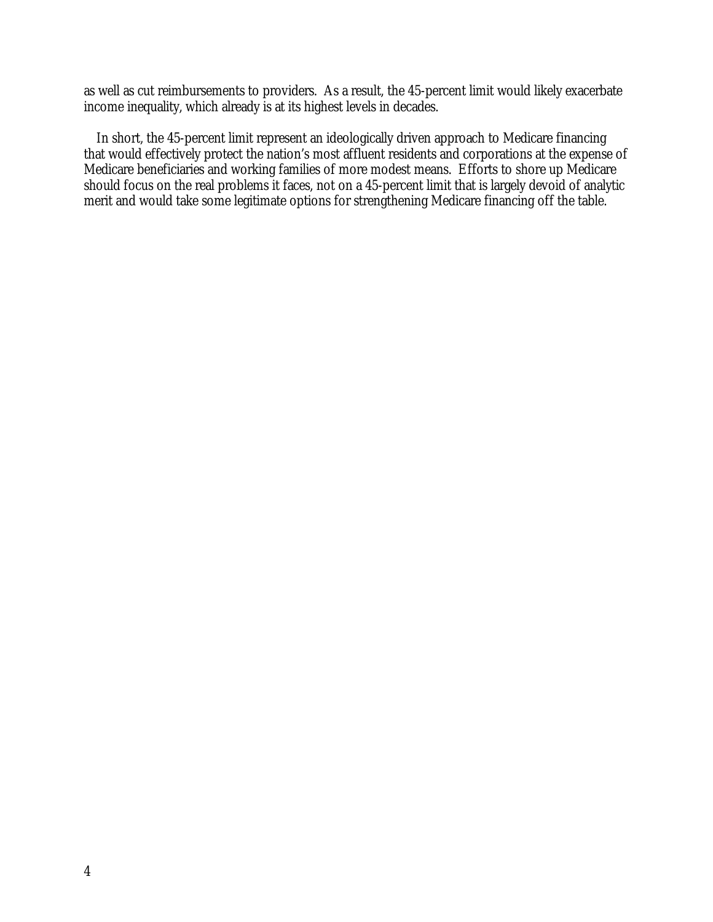as well as cut reimbursements to providers. As a result, the 45-percent limit would likely exacerbate income inequality, which already is at its highest levels in decades.

 In short, the 45-percent limit represent an ideologically driven approach to Medicare financing that would effectively protect the nation's most affluent residents and corporations at the expense of Medicare beneficiaries and working families of more modest means. Efforts to shore up Medicare should focus on the real problems it faces, not on a 45-percent limit that is largely devoid of analytic merit and would take some legitimate options for strengthening Medicare financing off the table.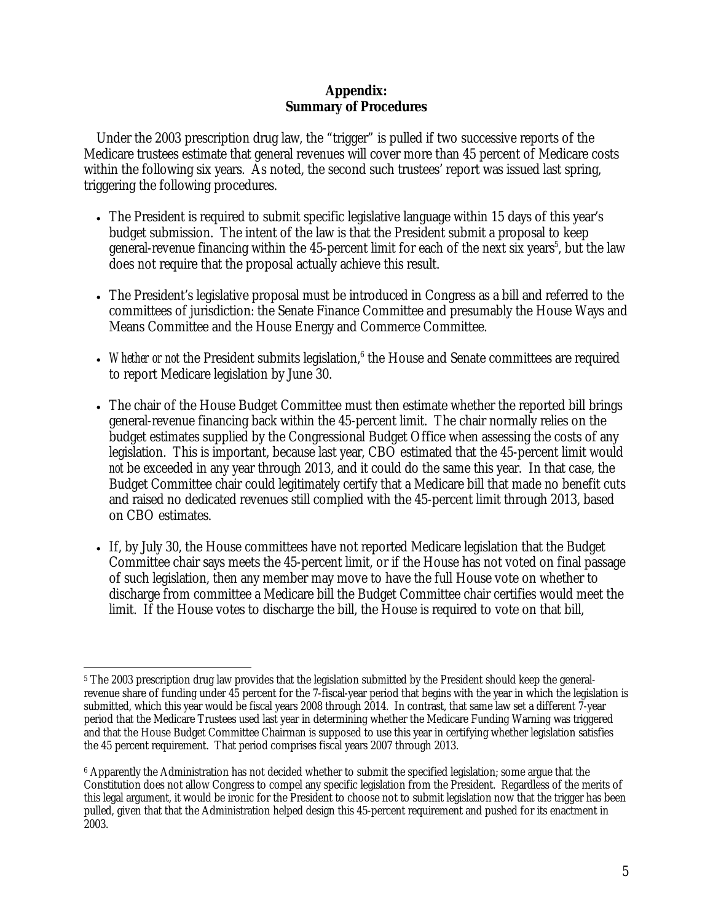### **Appendix: Summary of Procedures**

 Under the 2003 prescription drug law, the "trigger" is pulled if two successive reports of the Medicare trustees estimate that general revenues will cover more than 45 percent of Medicare costs within the following six years. As noted, the second such trustees' report was issued last spring, triggering the following procedures.

- The President is required to submit specific legislative language within 15 days of this year's budget submission. The intent of the law is that the President submit a proposal to keep general-revenue financing within the 45-percent limit for each of the next six years<sup>5</sup>, but the law does not require that the proposal actually achieve this result.
- The President's legislative proposal must be introduced in Congress as a bill and referred to the committees of jurisdiction: the Senate Finance Committee and presumably the House Ways and Means Committee and the House Energy and Commerce Committee.
- Whether or not the President submits legislation,<sup>6</sup> the House and Senate committees are required to report Medicare legislation by June 30.
- The chair of the House Budget Committee must then estimate whether the reported bill brings general-revenue financing back within the 45-percent limit. The chair normally relies on the budget estimates supplied by the Congressional Budget Office when assessing the costs of any legislation. This is important, because last year, CBO estimated that the 45-percent limit would *not* be exceeded in any year through 2013, and it could do the same this year. In that case, the Budget Committee chair could legitimately certify that a Medicare bill that made no benefit cuts and raised no dedicated revenues still complied with the 45-percent limit through 2013, based on CBO estimates.
- If, by July 30, the House committees have not reported Medicare legislation that the Budget Committee chair says meets the 45-percent limit, or if the House has not voted on final passage of such legislation, then any member may move to have the full House vote on whether to discharge from committee a Medicare bill the Budget Committee chair certifies would meet the limit. If the House votes to discharge the bill, the House is required to vote on that bill,

 $\overline{a}$ 5 The 2003 prescription drug law provides that the legislation submitted by the President should keep the generalrevenue share of funding under 45 percent for the 7-fiscal-year period that begins with the year in which the legislation is submitted, which this year would be fiscal years 2008 through 2014. In contrast, that same law set a different 7-year period that the Medicare Trustees used last year in determining whether the Medicare Funding Warning was triggered and that the House Budget Committee Chairman is supposed to use this year in certifying whether legislation satisfies the 45 percent requirement. That period comprises fiscal years 2007 through 2013.

<sup>6</sup> Apparently the Administration has not decided whether to submit the specified legislation; some argue that the Constitution does not allow Congress to compel any specific legislation from the President. Regardless of the merits of this legal argument, it would be ironic for the President to choose not to submit legislation now that the trigger has been pulled, given that that the Administration helped design this 45-percent requirement and pushed for its enactment in 2003.